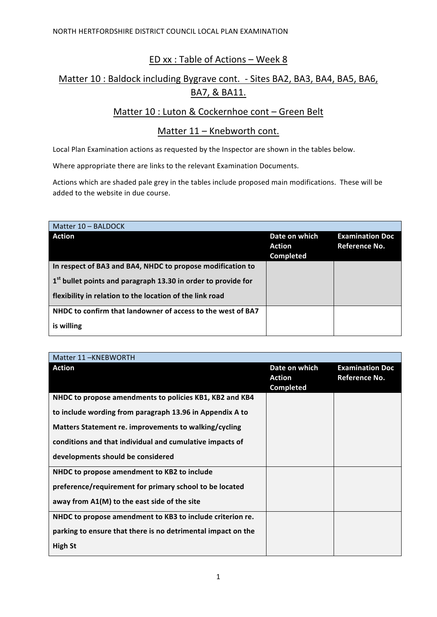# ED xx : Table of Actions - Week 8

## Matter 10 : Baldock including Bygrave cont. - Sites BA2, BA3, BA4, BA5, BA6, BA7, & BA11.

### Matter 10 : Luton & Cockernhoe cont - Green Belt

### Matter  $11$  – Knebworth cont.

Local Plan Examination actions as requested by the Inspector are shown in the tables below.

Where appropriate there are links to the relevant Examination Documents.

Actions which are shaded pale grey in the tables include proposed main modifications. These will be added to the website in due course.

| Matter 10 - BALDOCK                                                       |                                             |                                         |
|---------------------------------------------------------------------------|---------------------------------------------|-----------------------------------------|
| <b>Action</b>                                                             | Date on which<br>Action<br><b>Completed</b> | <b>Examination Doc</b><br>Reference No. |
| In respect of BA3 and BA4, NHDC to propose modification to                |                                             |                                         |
| 1 <sup>st</sup> bullet points and paragraph 13.30 in order to provide for |                                             |                                         |
| flexibility in relation to the location of the link road                  |                                             |                                         |
| NHDC to confirm that landowner of access to the west of BA7               |                                             |                                         |
| is willing                                                                |                                             |                                         |

| Matter 11-KNEBWORTH                                          |                                                    |                                                |
|--------------------------------------------------------------|----------------------------------------------------|------------------------------------------------|
| <b>Action</b>                                                | Date on which<br><b>Action</b><br><b>Completed</b> | <b>Examination Doc</b><br><b>Reference No.</b> |
| NHDC to propose amendments to policies KB1, KB2 and KB4      |                                                    |                                                |
| to include wording from paragraph 13.96 in Appendix A to     |                                                    |                                                |
| Matters Statement re. improvements to walking/cycling        |                                                    |                                                |
| conditions and that individual and cumulative impacts of     |                                                    |                                                |
| developments should be considered                            |                                                    |                                                |
| NHDC to propose amendment to KB2 to include                  |                                                    |                                                |
| preference/requirement for primary school to be located      |                                                    |                                                |
| away from A1(M) to the east side of the site                 |                                                    |                                                |
| NHDC to propose amendment to KB3 to include criterion re.    |                                                    |                                                |
| parking to ensure that there is no detrimental impact on the |                                                    |                                                |
| <b>High St</b>                                               |                                                    |                                                |